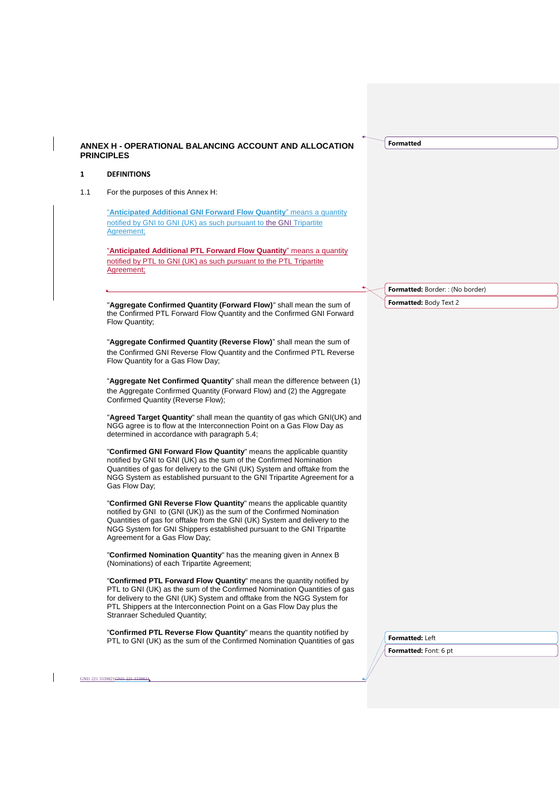| $\mathbf{1}$ | <b>DEFINITIONS</b>                                                                                                                                                                                                                                                                                                                          |                                        |
|--------------|---------------------------------------------------------------------------------------------------------------------------------------------------------------------------------------------------------------------------------------------------------------------------------------------------------------------------------------------|----------------------------------------|
| 1.1          | For the purposes of this Annex H:                                                                                                                                                                                                                                                                                                           |                                        |
|              | "Anticipated Additional GNI Forward Flow Quantity" means a quantity<br>notified by GNI to GNI (UK) as such pursuant to the GNI Tripartite<br>Agreement;                                                                                                                                                                                     |                                        |
|              | "Anticipated Additional PTL Forward Flow Quantity" means a quantity<br>notified by PTL to GNI (UK) as such pursuant to the PTL Tripartite<br>Agreement;                                                                                                                                                                                     |                                        |
|              |                                                                                                                                                                                                                                                                                                                                             | <b>Formatted:</b> Border:: (No border) |
|              | "Aggregate Confirmed Quantity (Forward Flow)" shall mean the sum of                                                                                                                                                                                                                                                                         | <b>Formatted: Body Text 2</b>          |
|              | the Confirmed PTL Forward Flow Quantity and the Confirmed GNI Forward<br>Flow Quantity;                                                                                                                                                                                                                                                     |                                        |
|              | "Aggregate Confirmed Quantity (Reverse Flow)" shall mean the sum of                                                                                                                                                                                                                                                                         |                                        |
|              | the Confirmed GNI Reverse Flow Quantity and the Confirmed PTL Reverse<br>Flow Quantity for a Gas Flow Day;                                                                                                                                                                                                                                  |                                        |
|              | "Aggregate Net Confirmed Quantity" shall mean the difference between (1)                                                                                                                                                                                                                                                                    |                                        |
|              | the Aggregate Confirmed Quantity (Forward Flow) and (2) the Aggregate<br>Confirmed Quantity (Reverse Flow);                                                                                                                                                                                                                                 |                                        |
|              | "Agreed Target Quantity" shall mean the quantity of gas which GNI(UK) and<br>NGG agree is to flow at the Interconnection Point on a Gas Flow Day as<br>determined in accordance with paragraph 5.4;                                                                                                                                         |                                        |
|              | "Confirmed GNI Forward Flow Quantity" means the applicable quantity<br>notified by GNI to GNI (UK) as the sum of the Confirmed Nomination<br>Quantities of gas for delivery to the GNI (UK) System and offtake from the<br>NGG System as established pursuant to the GNI Tripartite Agreement for a<br>Gas Flow Day;                        |                                        |
|              | "Confirmed GNI Reverse Flow Quantity" means the applicable quantity<br>notified by GNI to (GNI (UK)) as the sum of the Confirmed Nomination<br>Quantities of gas for offtake from the GNI (UK) System and delivery to the<br>NGG System for GNI Shippers established pursuant to the GNI Tripartite<br>Agreement for a Gas Flow Day;        |                                        |
|              | "Confirmed Nomination Quantity" has the meaning given in Annex B<br>(Nominations) of each Tripartite Agreement;                                                                                                                                                                                                                             |                                        |
|              | "Confirmed PTL Forward Flow Quantity" means the quantity notified by<br>PTL to GNI (UK) as the sum of the Confirmed Nomination Quantities of gas<br>for delivery to the GNI (UK) System and offtake from the NGG System for<br>PTL Shippers at the Interconnection Point on a Gas Flow Day plus the<br><b>Stranraer Scheduled Quantity;</b> |                                        |
|              | "Confirmed PTL Reverse Flow Quantity" means the quantity notified by<br>PTL to GNI (UK) as the sum of the Confirmed Nomination Quantities of gas                                                                                                                                                                                            | Formatted: Left                        |
|              |                                                                                                                                                                                                                                                                                                                                             | <b>Formatted:</b> Font: 6 pt           |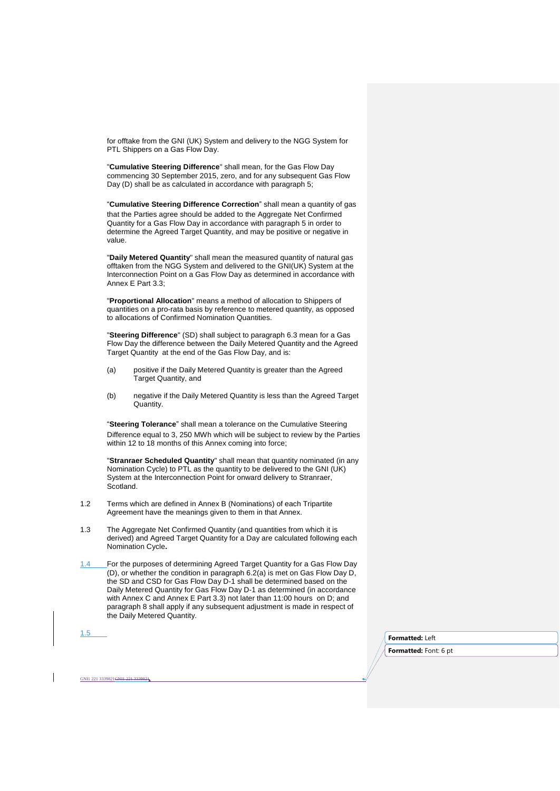for offtake from the GNI (UK) System and delivery to the NGG System for PTL Shippers on a Gas Flow Day.

"**Cumulative Steering Difference**" shall mean, for the Gas Flow Day commencing 30 September 2015, zero, and for any subsequent Gas Flow Day (D) shall be as calculated in accordance with paragraph 5;

"**Cumulative Steering Difference Correction**" shall mean a quantity of gas that the Parties agree should be added to the Aggregate Net Confirmed Quantity for a Gas Flow Day in accordance with paragraph 5 in order to determine the Agreed Target Quantity, and may be positive or negative in value.

"**Daily Metered Quantity**" shall mean the measured quantity of natural gas offtaken from the NGG System and delivered to the GNI(UK) System at the Interconnection Point on a Gas Flow Day as determined in accordance with Annex E Part 3.3;

"**Proportional Allocation**" means a method of allocation to Shippers of quantities on a pro-rata basis by reference to metered quantity, as opposed to allocations of Confirmed Nomination Quantities.

"**Steering Difference**" (SD) shall subject to paragraph 6.3 mean for a Gas Flow Day the difference between the Daily Metered Quantity and the Agreed Target Quantity at the end of the Gas Flow Day, and is:

- (a) positive if the Daily Metered Quantity is greater than the Agreed Target Quantity, and
- (b) negative if the Daily Metered Quantity is less than the Agreed Target Quantity.

"**Steering Tolerance**" shall mean a tolerance on the Cumulative Steering Difference equal to 3, 250 MWh which will be subject to review by the Parties within 12 to 18 months of this Annex coming into force;

"**Stranraer Scheduled Quantity**" shall mean that quantity nominated (in any Nomination Cycle) to PTL as the quantity to be delivered to the GNI (UK) System at the Interconnection Point for onward delivery to Stranraer, Scotland.

- 1.2 Terms which are defined in Annex B (Nominations) of each Tripartite Agreement have the meanings given to them in that Annex.
- 1.3 The Aggregate Net Confirmed Quantity (and quantities from which it is derived) and Agreed Target Quantity for a Day are calculated following each Nomination Cycle**.**
- 1.4 For the purposes of determining Agreed Target Quantity for a Gas Flow Day  $(D)$ , or whether the condition in paragraph 6.2(a) is met on Gas Flow Day D, the SD and CSD for Gas Flow Day D-1 shall be determined based on the Daily Metered Quantity for Gas Flow Day D-1 as determined (in accordance with Annex C and Annex E Part 3.3) not later than 11:00 hours on D; and paragraph 8 shall apply if any subsequent adjustment is made in respect of the Daily Metered Quantity.

1.5

GNI1 221 3339821GNI1 221 333982

**Formatted:** Left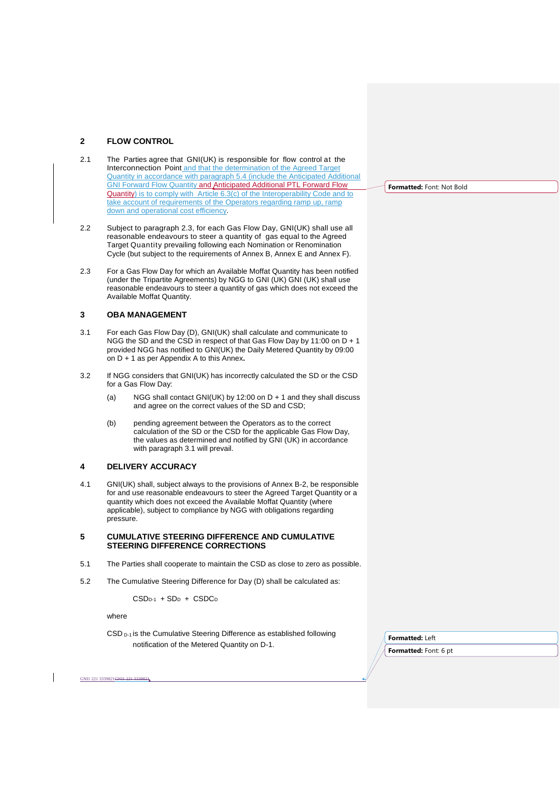## **2 FLOW CONTROL**

- 2.1 The Parties agree that GNI(UK) is responsible for flow control at the Interconnection Point and that the determination of the Agreed Target Quantity in accordance with paragraph 5.4 (include the Anticipated Additional GNI Forward Flow Quantity and Anticipated Additional PTL Forward Flow Quantity) is to comply with Article 6.3(c) of the Interoperability Code and to take account of requirements of the Operators regarding ramp up, ramp down and operational cost efficiency.
- 2.2 Subject to paragraph 2.3, for each Gas Flow Day, GNI(UK) shall use all reasonable endeavours to steer a quantity of gas equal to the Agreed Target Quantity prevailing following each Nomination or Renomination Cycle (but subject to the requirements of Annex B, Annex E and Annex F).
- 2.3 For a Gas Flow Day for which an Available Moffat Quantity has been notified (under the Tripartite Agreements) by NGG to GNI (UK) GNI (UK) shall use reasonable endeavours to steer a quantity of gas which does not exceed the Available Moffat Quantity.

### **3 OBA MANAGEMENT**

- 3.1 For each Gas Flow Day (D), GNI(UK) shall calculate and communicate to NGG the SD and the CSD in respect of that Gas Flow Day by 11:00 on D + 1 provided NGG has notified to GNI(UK) the Daily Metered Quantity by 09:00 on D + 1 as per Appendix A to this Annex**.**
- 3.2 If NGG considers that GNI(UK) has incorrectly calculated the SD or the CSD for a Gas Flow Day:
	- (a) NGG shall contact GNI(UK) by 12:00 on D + 1 and they shall discuss and agree on the correct values of the SD and CSD;
	- (b) pending agreement between the Operators as to the correct calculation of the SD or the CSD for the applicable Gas Flow Day, the values as determined and notified by GNI (UK) in accordance with paragraph 3.1 will prevail.

### **4 DELIVERY ACCURACY**

4.1 GNI(UK) shall, subject always to the provisions of Annex B-2, be responsible for and use reasonable endeavours to steer the Agreed Target Quantity or a quantity which does not exceed the Available Moffat Quantity (where applicable), subject to compliance by NGG with obligations regarding pressure.

### **5 CUMULATIVE STEERING DIFFERENCE AND CUMULATIVE STEERING DIFFERENCE CORRECTIONS**

- 5.1 The Parties shall cooperate to maintain the CSD as close to zero as possible.
- 5.2 The Cumulative Steering Difference for Day (D) shall be calculated as:

 $CSD<sub>D-1</sub> + SD<sub>D</sub> + CSDC<sub>D</sub>$ 

where

GNI1 221 3339821GNI1 221 3339821

CSD <sub>D-1</sub> is the Cumulative Steering Difference as established following notification of the Metered Quantity on D-1.

**Formatted:** Font: Not Bold

**Formatted:** Left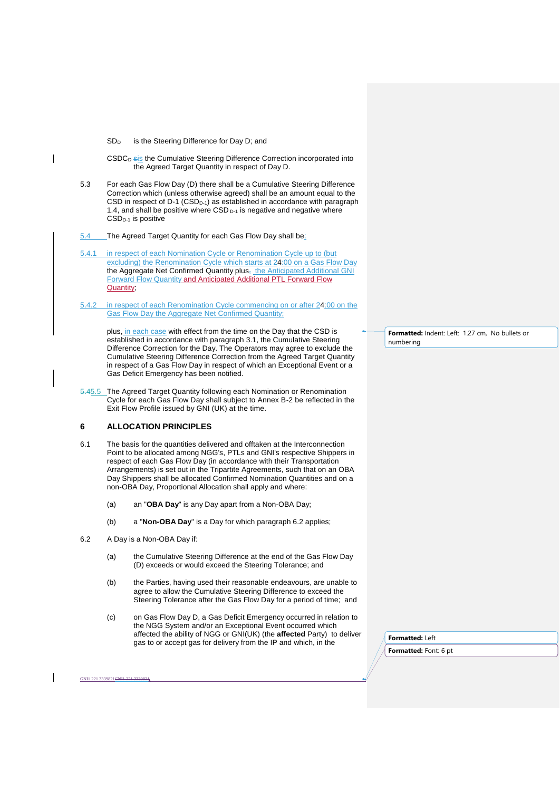SD<sub>D</sub> is the Steering Difference for Day D; and

CSDC<sub>D</sub> sis the Cumulative Steering Difference Correction incorporated into the Agreed Target Quantity in respect of Day D.

- 5.3 For each Gas Flow Day (D) there shall be a Cumulative Steering Difference Correction which (unless otherwise agreed) shall be an amount equal to the CSD in respect of D-1 (CSD<sub>D-1</sub>) as established in accordance with paragraph 1.4, and shall be positive where CSD D-1 is negative and negative where CSD<sub>D-1</sub> is positive
- 5.4 The Agreed Target Quantity for each Gas Flow Day shall be:
- 5.4.1 in respect of each Nomination Cycle or Renomination Cycle up to (but excluding) the Renomination Cycle which starts at 24:00 on a Gas Flow Day the Aggregate Net Confirmed Quantity plus, the Anticipated Additional GNI Forward Flow Quantity and Anticipated Additional PTL Forward Flow Quantity;
- 5.4.2 in respect of each Renomination Cycle commencing on or after 24:00 on the Gas Flow Day the Aggregate Net Confirmed Quantity;

plus, in each case with effect from the time on the Day that the CSD is established in accordance with paragraph 3.1, the Cumulative Steering Difference Correction for the Day. The Operators may agree to exclude the Cumulative Steering Difference Correction from the Agreed Target Quantity in respect of a Gas Flow Day in respect of which an Exceptional Event or a Gas Deficit Emergency has been notified.

5.45.5 The Agreed Target Quantity following each Nomination or Renomination Cycle for each Gas Flow Day shall subject to Annex B-2 be reflected in the Exit Flow Profile issued by GNI (UK) at the time.

# **6 ALLOCATION PRINCIPLES**

- 6.1 The basis for the quantities delivered and offtaken at the Interconnection Point to be allocated among NGG's, PTLs and GNI's respective Shippers in respect of each Gas Flow Day (in accordance with their Transportation Arrangements) is set out in the Tripartite Agreements, such that on an OBA Day Shippers shall be allocated Confirmed Nomination Quantities and on a non-OBA Day, Proportional Allocation shall apply and where:
	- (a) an "**OBA Day**" is any Day apart from a Non-OBA Day;
	- (b) a "**Non-OBA Day**" is a Day for which paragraph 6.2 applies;
- 6.2 A Day is a Non-OBA Day if:
	- (a) the Cumulative Steering Difference at the end of the Gas Flow Day (D) exceeds or would exceed the Steering Tolerance; and
	- (b) the Parties, having used their reasonable endeavours, are unable to agree to allow the Cumulative Steering Difference to exceed the Steering Tolerance after the Gas Flow Day for a period of time; and
	- (c) on Gas Flow Day D, a Gas Deficit Emergency occurred in relation to the NGG System and/or an Exceptional Event occurred which affected the ability of NGG or GNI(UK) (the **affected** Party) to deliver gas to or accept gas for delivery from the IP and which, in the

**Formatted:** Indent: Left: 1.27 cm, No bullets or numbering

**Formatted:** Left **Formatted:** Font: 6 pt

GNI1 221 3339821GNI1 221 3339821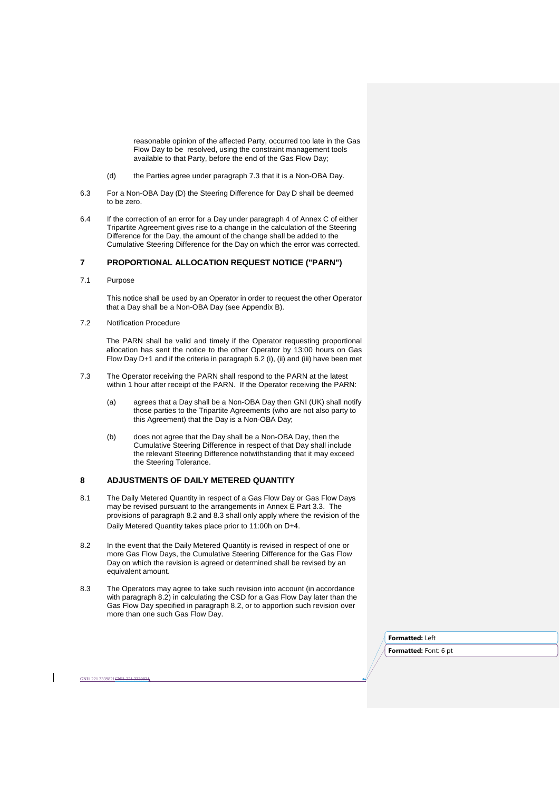reasonable opinion of the affected Party, occurred too late in the Gas Flow Day to be resolved, using the constraint management tools available to that Party, before the end of the Gas Flow Day;

- (d) the Parties agree under paragraph 7.3 that it is a Non-OBA Day.
- 6.3 For a Non-OBA Day (D) the Steering Difference for Day D shall be deemed to be zero.
- 6.4 If the correction of an error for a Day under paragraph 4 of Annex C of either Tripartite Agreement gives rise to a change in the calculation of the Steering Difference for the Day, the amount of the change shall be added to the Cumulative Steering Difference for the Day on which the error was corrected.

# **7 PROPORTIONAL ALLOCATION REQUEST NOTICE ("PARN")**

7.1 Purpose

This notice shall be used by an Operator in order to request the other Operator that a Day shall be a Non-OBA Day (see Appendix B).

7.2 Notification Procedure

GNI1 221 3339821GNI1 221 3339821

The PARN shall be valid and timely if the Operator requesting proportional allocation has sent the notice to the other Operator by 13:00 hours on Gas Flow Day D+1 and if the criteria in paragraph  $6.2$  (i), (ii) and (iii) have been met

- 7.3 The Operator receiving the PARN shall respond to the PARN at the latest within 1 hour after receipt of the PARN. If the Operator receiving the PARN:
	- (a) agrees that a Day shall be a Non-OBA Day then GNI (UK) shall notify those parties to the Tripartite Agreements (who are not also party to this Agreement) that the Day is a Non-OBA Day;
	- (b) does not agree that the Day shall be a Non-OBA Day, then the Cumulative Steering Difference in respect of that Day shall include the relevant Steering Difference notwithstanding that it may exceed the Steering Tolerance.

## **8 ADJUSTMENTS OF DAILY METERED QUANTITY**

- 8.1 The Daily Metered Quantity in respect of a Gas Flow Day or Gas Flow Days may be revised pursuant to the arrangements in Annex E Part 3.3. The provisions of paragraph 8.2 and 8.3 shall only apply where the revision of the Daily Metered Quantity takes place prior to 11:00h on D+4.
- 8.2 In the event that the Daily Metered Quantity is revised in respect of one or more Gas Flow Days, the Cumulative Steering Difference for the Gas Flow Day on which the revision is agreed or determined shall be revised by an equivalent amount.
- 8.3 The Operators may agree to take such revision into account (in accordance with paragraph 8.2) in calculating the CSD for a Gas Flow Day later than the Gas Flow Day specified in paragraph 8.2, or to apportion such revision over more than one such Gas Flow Day.

**Formatted:** Left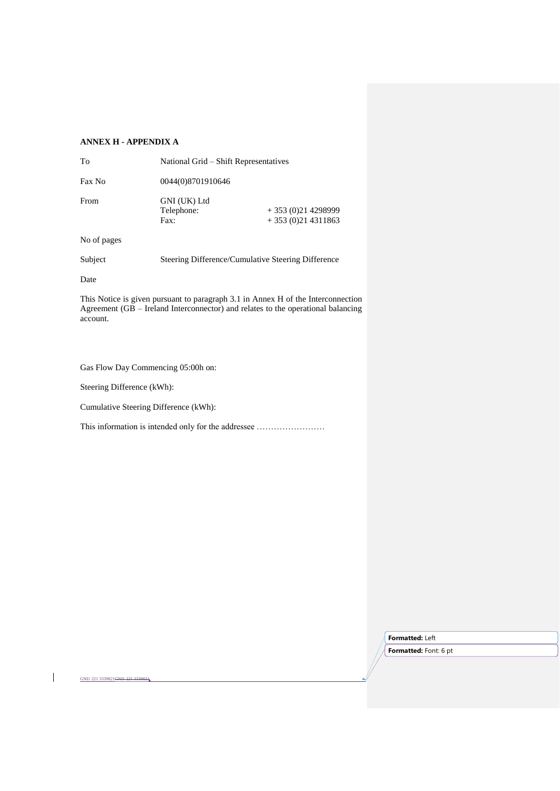# **ANNEX H - APPENDIX A**

| To     | National Grid – Shift Representatives |                                          |  |
|--------|---------------------------------------|------------------------------------------|--|
| Fax No | 0044(0)8701910646                     |                                          |  |
| From   | GNI (UK) Ltd<br>Telephone:<br>Fax:    | $+353(0)214298999$<br>$+353(0)214311863$ |  |

No of pages

Subject Steering Difference/Cumulative Steering Difference

Date

This Notice is given pursuant to paragraph 3.1 in Annex H of the Interconnection Agreement (GB – Ireland Interconnector) and relates to the operational balancing account.

Gas Flow Day Commencing 05:00h on:

Steering Difference (kWh):

GNI1 221 3339821GNI1 221 3339821

Cumulative Steering Difference (kWh):

This information is intended only for the addressee ……………………

**Formatted:** Left